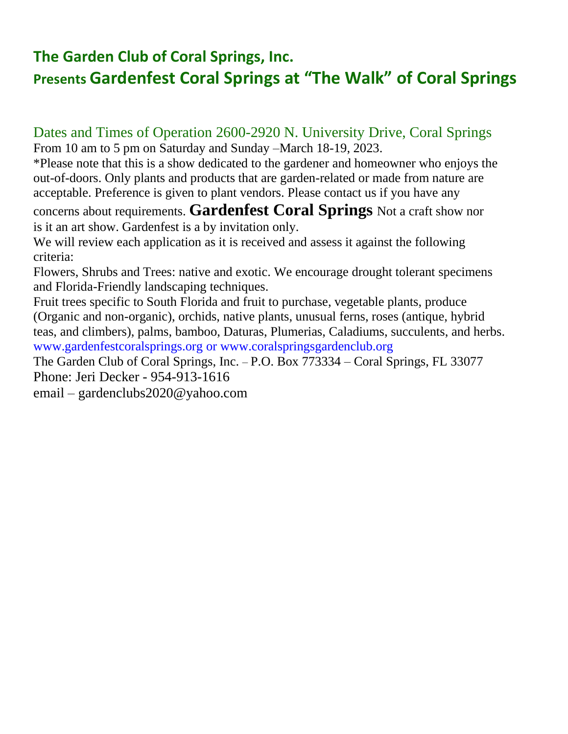### **The Garden Club of Coral Springs, Inc. Presents Gardenfest Coral Springs at "The Walk" of Coral Springs**

# Dates and Times of Operation 2600-2920 N. University Drive, Coral Springs

From 10 am to 5 pm on Saturday and Sunday –March 18-19, 2023. \*Please note that this is a show dedicated to the gardener and homeowner who enjoys the

out-of-doors. Only plants and products that are garden-related or made from nature are acceptable. Preference is given to plant vendors. Please contact us if you have any

concerns about requirements. **Gardenfest Coral Springs** Not a craft show nor is it an art show. Gardenfest is a by invitation only.

We will review each application as it is received and assess it against the following criteria:

Flowers, Shrubs and Trees: native and exotic. We encourage drought tolerant specimens and Florida-Friendly landscaping techniques.

Fruit trees specific to South Florida and fruit to purchase, vegetable plants, produce (Organic and non-organic), orchids, native plants, unusual ferns, roses (antique, hybrid teas, and climbers), palms, bamboo, Daturas, Plumerias, Caladiums, succulents, and herbs. www.gardenfestcoralsprings.org or www.coralspringsgardenclub.org

The Garden Club of Coral Springs, Inc. – P.O. Box 773334 – Coral Springs, FL 33077 Phone: Jeri Decker - 954-913-1616

email – gardenclubs2020@yahoo.com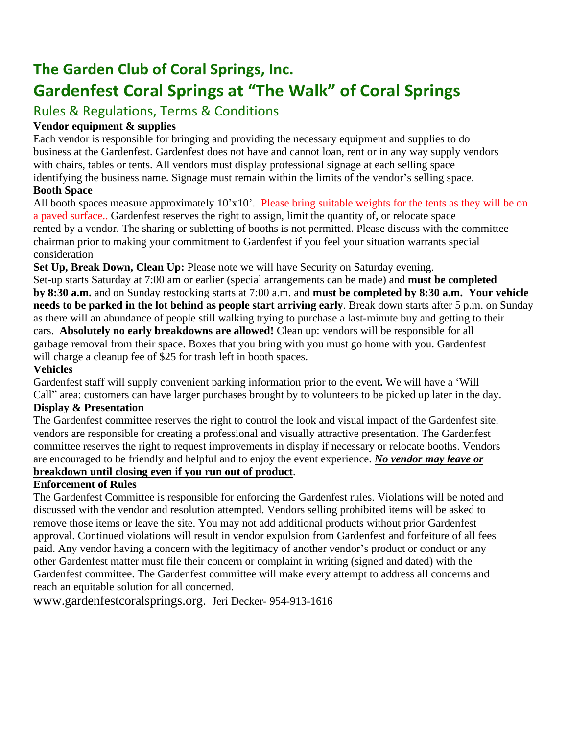### **The Garden Club of Coral Springs, Inc. Gardenfest Coral Springs at "The Walk" of Coral Springs**

### Rules & Regulations, Terms & Conditions

#### **Vendor equipment & supplies**

Each vendor is responsible for bringing and providing the necessary equipment and supplies to do business at the Gardenfest. Gardenfest does not have and cannot loan, rent or in any way supply vendors with chairs, tables or tents. All vendors must display professional signage at each selling space identifying the business name. Signage must remain within the limits of the vendor's selling space.

#### **Booth Space**

All booth spaces measure approximately 10'x10'. Please bring suitable weights for the tents as they will be on a paved surface.. Gardenfest reserves the right to assign, limit the quantity of, or relocate space rented by a vendor. The sharing or subletting of booths is not permitted. Please discuss with the committee chairman prior to making your commitment to Gardenfest if you feel your situation warrants special consideration

**Set Up, Break Down, Clean Up:** Please note we will have Security on Saturday evening.

Set-up starts Saturday at 7:00 am or earlier (special arrangements can be made) and **must be completed by 8:30 a.m.** and on Sunday restocking starts at 7:00 a.m. and **must be completed by 8:30 a.m. Your vehicle needs to be parked in the lot behind as people start arriving early**. Break down starts after 5 p.m. on Sunday as there will an abundance of people still walking trying to purchase a last-minute buy and getting to their cars. **Absolutely no early breakdowns are allowed!** Clean up: vendors will be responsible for all garbage removal from their space. Boxes that you bring with you must go home with you. Gardenfest will charge a cleanup fee of \$25 for trash left in booth spaces.

#### **Vehicles**

Gardenfest staff will supply convenient parking information prior to the event**.** We will have a 'Will Call" area: customers can have larger purchases brought by to volunteers to be picked up later in the day.

#### **Display & Presentation**

The Gardenfest committee reserves the right to control the look and visual impact of the Gardenfest site. vendors are responsible for creating a professional and visually attractive presentation. The Gardenfest committee reserves the right to request improvements in display if necessary or relocate booths. Vendors are encouraged to be friendly and helpful and to enjoy the event experience. *No vendor may leave or* **breakdown until closing even if you run out of product**.

#### **Enforcement of Rules**

The Gardenfest Committee is responsible for enforcing the Gardenfest rules. Violations will be noted and discussed with the vendor and resolution attempted. Vendors selling prohibited items will be asked to remove those items or leave the site. You may not add additional products without prior Gardenfest approval. Continued violations will result in vendor expulsion from Gardenfest and forfeiture of all fees paid. Any vendor having a concern with the legitimacy of another vendor's product or conduct or any other Gardenfest matter must file their concern or complaint in writing (signed and dated) with the Gardenfest committee. The Gardenfest committee will make every attempt to address all concerns and reach an equitable solution for all concerned.

www.gardenfestcoralsprings.org. Jeri Decker- 954-913-1616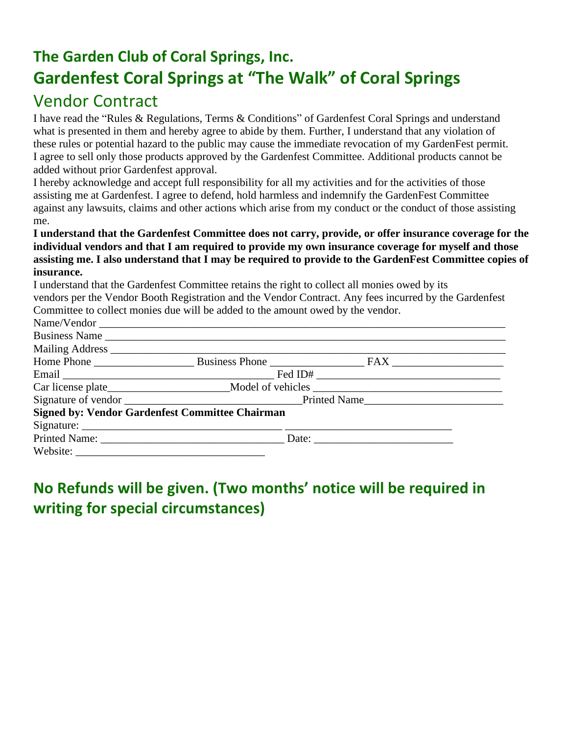## **The Garden Club of Coral Springs, Inc. Gardenfest Coral Springs at "The Walk" of Coral Springs** Vendor Contract

I have read the "Rules & Regulations, Terms & Conditions" of Gardenfest Coral Springs and understand what is presented in them and hereby agree to abide by them. Further, I understand that any violation of these rules or potential hazard to the public may cause the immediate revocation of my GardenFest permit. I agree to sell only those products approved by the Gardenfest Committee. Additional products cannot be added without prior Gardenfest approval.

I hereby acknowledge and accept full responsibility for all my activities and for the activities of those assisting me at Gardenfest. I agree to defend, hold harmless and indemnify the GardenFest Committee against any lawsuits, claims and other actions which arise from my conduct or the conduct of those assisting me.

#### **I understand that the Gardenfest Committee does not carry, provide, or offer insurance coverage for the individual vendors and that I am required to provide my own insurance coverage for myself and those** assisting me. I also understand that I may be required to provide to the GardenFest Committee copies of **insurance.**

I understand that the Gardenfest Committee retains the right to collect all monies owed by its vendors per the Vendor Booth Registration and the Vendor Contract. Any fees incurred by the Gardenfest Committee to collect monies due will be added to the amount owed by the vendor.

|                                                        | Name/Vendor |  |  |
|--------------------------------------------------------|-------------|--|--|
|                                                        |             |  |  |
|                                                        |             |  |  |
|                                                        |             |  |  |
|                                                        |             |  |  |
|                                                        |             |  |  |
|                                                        |             |  |  |
| <b>Signed by: Vendor Gardenfest Committee Chairman</b> |             |  |  |
|                                                        |             |  |  |
|                                                        |             |  |  |
|                                                        |             |  |  |

### **No Refunds will be given. (Two months' notice will be required in writing for special circumstances)**